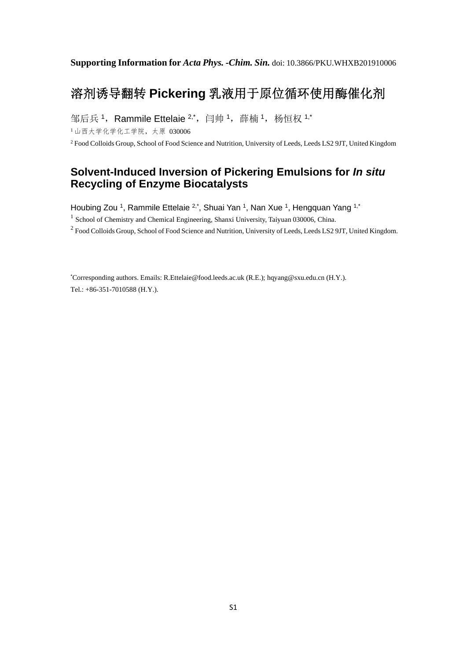# 溶剂诱导翻转 **Pickering** 乳液用于原位循环使用酶催化剂

邹后兵<sup>1</sup>, Rammile Ettelaie  $2, 2, \ldots$  闫帅 1, 薛楠 1, 杨恒权  $1, 1$ \*

<sup>1</sup>山西大学化学化工学院,太原 030006

<sup>2</sup> Food Colloids Group, School of Food Science and Nutrition, University of Leeds, Leeds LS2 9JT, United Kingdom

## **Solvent-Induced Inversion of Pickering Emulsions for** *In situ* **Recycling of Enzyme Biocatalysts**

Houbing Zou <sup>1</sup>, Rammile Ettelaie <sup>2,\*</sup>, Shuai Yan <sup>1</sup>, Nan Xue <sup>1</sup>, Hengquan Yang <sup>1,\*</sup>

<sup>1</sup> School of Chemistry and Chemical Engineering, Shanxi University, Taiyuan 030006, China.

<sup>2</sup> Food Colloids Group, School of Food Science and Nutrition, University of Leeds, Leeds LS2 9JT, United Kingdom.

\* Corresponding authors. Emails: R.Ettelaie@food.leeds.ac.uk (R.E.); hqyang@sxu.edu.cn (H.Y.). Tel.: +86-351-7010588 (H.Y.).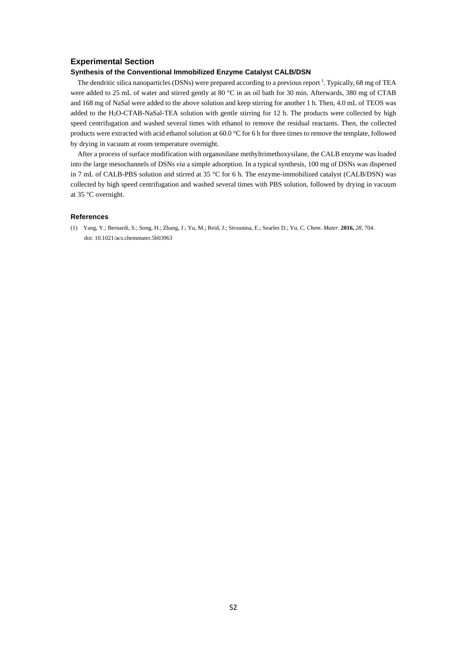#### **Experimental Section**

### **Synthesis of the Conventional Immobilized Enzyme Catalyst CALB/DSN**

The dendritic silica nanoparticles (DSNs) were prepared according to a previous report  $\frac{1}{1}$ . Typically, 68 mg of TEA were added to 25 mL of water and stirred gently at 80 °C in an oil bath for 30 min. Afterwards, 380 mg of CTAB and 168 mg of NaSal were added to the above solution and keep stirring for another 1 h. Then, 4.0 mL of TEOS was added to the H2O-CTAB-NaSal-TEA solution with gentle stirring for 12 h. The products were collected by high speed centrifugation and washed several times with ethanol to remove the residual reactants. Then, the collected products were extracted with acid ethanol solution at 60.0 °C for 6 h for three times to remove the template, followed by drying in vacuum at room temperature overnight.

After a process of surface modification with organosilane methyltrimethoxysilane, the CALB enzyme was loaded into the large mesochannels of DSNs *via* a simple adsorption. In a typical synthesis, 100 mg of DSNs was dispersed in 7 mL of CALB-PBS solution and stirred at 35 °C for 6 h. The enzyme-immobilized catalyst (CALB/DSN) was collected by high speed centrifugation and washed several times with PBS solution, followed by drying in vacuum at 35 °C overnight.

#### **References**

(1) Yang, Y.; Bernardi, S.; Song, H.; Zhang, J.; Yu, M.; Reid, J.; Strounina, E.; Searles D.; Yu, C. *Chem. Mater.* **2016,** *28*, 704. doi: 10.1021/acs.chemmater.5b03963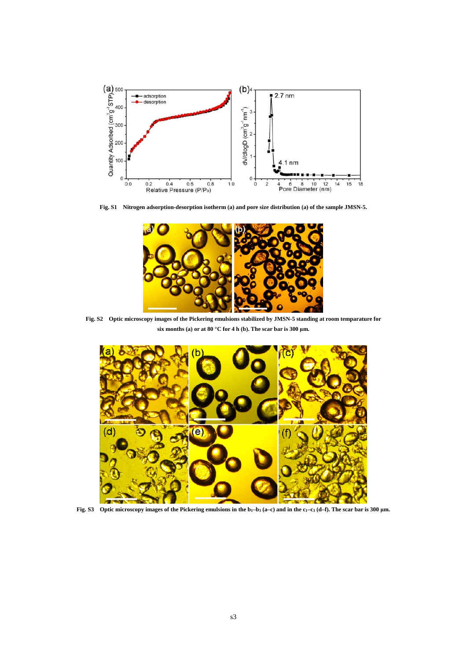

**Fig. S1 Nitrogen adsorption-desorption isotherm (a) and pore size distribution (a) of the sample JMSN-5.** 



**Fig. S2 Optic microscopy images of the Pickering emulsions stabilized by JMSN-5 standing at room temparature for six months (a) or at 80 °C for 4 h (b). The scar bar is 300 μm.** 



**Fig. S3 Optic microscopy images of the Pickering emulsions in the b1–b3 (a–c) and in the c1–c3 (d–f). The scar bar is 300 μm.**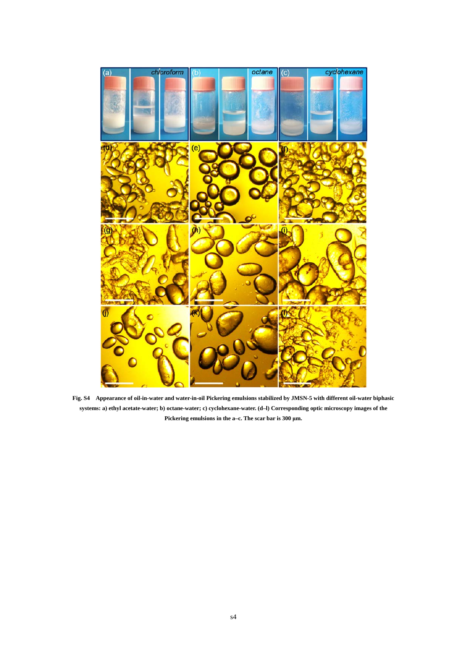

**Fig. S4 Appearance of oil-in-water and water-in-oil Pickering emulsions stabilized by JMSN-5 with different oil-water biphasic systems: a) ethyl acetate-water; b) octane-water; c) cyclohexane-water. (d–l) Corresponding optic microscopy images of the Pickering emulsions in the a–c. The scar bar is 300 μm.**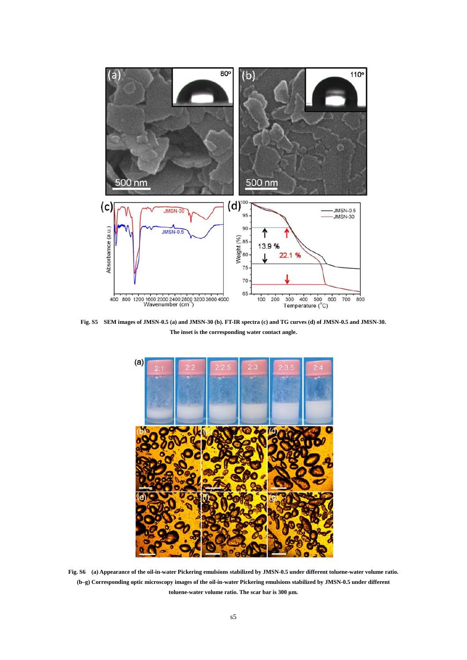

**Fig. S5 SEM images of JMSN-0.5 (a) and JMSN-30 (b). FT-IR spectra (c) and TG curves (d) of JMSN-0.5 and JMSN-30. The inset is the corresponding water contact angle.** 



**Fig. S6 (a) Appearance of the oil-in-water Pickering emulsions stabilized by JMSN-0.5 under different toluene-water volume ratio. (b–g) Corresponding optic microscopy images of the oil-in-water Pickering emulsions stabilized by JMSN-0.5 under different toluene-water volume ratio. The scar bar is 300 μm.**